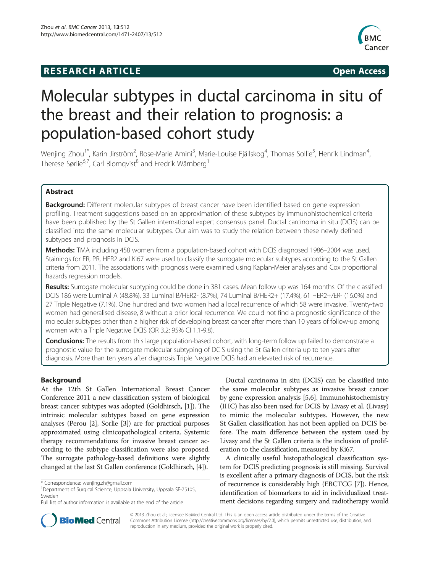## **RESEARCH ARTICLE Example 2014 CONSIDERING CONSIDERING CONSIDERING CONSIDERING CONSIDERING CONSIDERING CONSIDERING CONSIDERING CONSIDERING CONSIDERING CONSIDERING CONSIDERING CONSIDERING CONSIDERING CONSIDERING CONSIDE**



# Molecular subtypes in ductal carcinoma in situ of the breast and their relation to prognosis: a population-based cohort study

Wenjing Zhou<sup>1\*</sup>, Karin Jirström<sup>2</sup>, Rose-Marie Amini<sup>3</sup>, Marie-Louise Fjällskog<sup>4</sup>, Thomas Sollie<sup>5</sup>, Henrik Lindman<sup>4</sup> , Therese Sørlie<sup>6,7</sup>, Carl Blomqvist<sup>8</sup> and Fredrik Wärnberg<sup>1</sup>

## Abstract

**Background:** Different molecular subtypes of breast cancer have been identified based on gene expression profiling. Treatment suggestions based on an approximation of these subtypes by immunohistochemical criteria have been published by the St Gallen international expert consensus panel. Ductal carcinoma in situ (DCIS) can be classified into the same molecular subtypes. Our aim was to study the relation between these newly defined subtypes and prognosis in DCIS.

Methods: TMA including 458 women from a population-based cohort with DCIS diagnosed 1986–2004 was used. Stainings for ER, PR, HER2 and Ki67 were used to classify the surrogate molecular subtypes according to the St Gallen criteria from 2011. The associations with prognosis were examined using Kaplan-Meier analyses and Cox proportional hazards regression models.

Results: Surrogate molecular subtyping could be done in 381 cases. Mean follow up was 164 months. Of the classified DCIS 186 were Luminal A (48.8%), 33 Luminal B/HER2- (8.7%), 74 Luminal B/HER2+ (17.4%), 61 HER2+/ER- (16.0%) and 27 Triple Negative (7.1%). One hundred and two women had a local recurrence of which 58 were invasive. Twenty-two women had generalised disease, 8 without a prior local recurrence. We could not find a prognostic significance of the molecular subtypes other than a higher risk of developing breast cancer after more than 10 years of follow-up among women with a Triple Negative DCIS (OR 3.2; 95% CI 1.1-9.8).

Conclusions: The results from this large population-based cohort, with long-term follow up failed to demonstrate a prognostic value for the surrogate molecular subtyping of DCIS using the St Gallen criteria up to ten years after diagnosis. More than ten years after diagnosis Triple Negative DCIS had an elevated risk of recurrence.

## Background

At the 12th St Gallen International Breast Cancer Conference 2011 a new classification system of biological breast cancer subtypes was adopted (Goldhirsch, [[1](#page-7-0)]). The intrinsic molecular subtypes based on gene expression analyses (Perou [[2\]](#page-7-0), Sorlie [\[3](#page-7-0)]) are for practical purposes approximated using clinicopathological criteria. Systemic therapy recommendations for invasive breast cancer according to the subtype classification were also proposed. The surrogate pathology-based definitions were slightly changed at the last St Gallen conference (Goldhirsch, [[4\]](#page-7-0)).

Ductal carcinoma in situ (DCIS) can be classified into the same molecular subtypes as invasive breast cancer by gene expression analysis [[5,6\]](#page-7-0). Immunohistochemistry (IHC) has also been used for DCIS by Livasy et al. (Livasy) to mimic the molecular subtypes. However, the new St Gallen classification has not been applied on DCIS before. The main difference between the system used by Livasy and the St Gallen criteria is the inclusion of proliferation to the classification, measured by Ki67.

A clinically useful histopathological classification system for DCIS predicting prognosis is still missing. Survival is excellent after a primary diagnosis of DCIS, but the risk of recurrence is considerably high (EBCTCG [\[7](#page-7-0)]). Hence, identification of biomarkers to aid in individualized treatment decisions regarding surgery and radiotherapy would



© 2013 Zhou et al.; licensee BioMed Central Ltd. This is an open access article distributed under the terms of the Creative Commons Attribution License [\(http://creativecommons.org/licenses/by/2.0\)](http://creativecommons.org/licenses/by/2.0), which permits unrestricted use, distribution, and reproduction in any medium, provided the original work is properly cited.

<sup>\*</sup> Correspondence: [wenjing.zh@gmail.com](mailto:wenjing.zh@gmail.com) <sup>1</sup>

<sup>&</sup>lt;sup>1</sup>Department of Surgical Science, Uppsala University, Uppsala SE-75105, Sweden

Full list of author information is available at the end of the article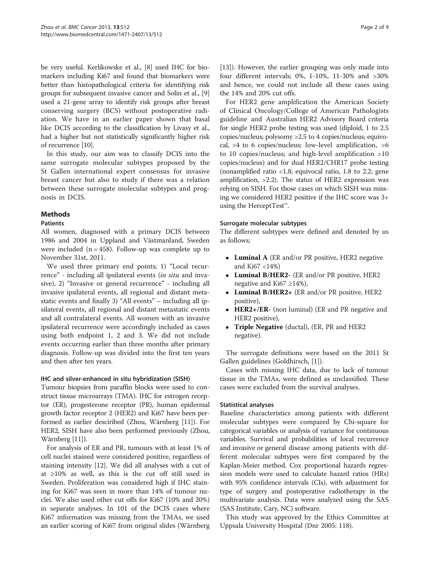be very useful. Kerlikowske et al., [\[8](#page-7-0)] used IHC for biomarkers including Ki67 and found that biomarkers were better than histopathological criteria for identifying risk groups for subsequent invasive cancer and Solin et al., [[9](#page-7-0)] used a 21-gene array to identify risk groups after breast conserving surgery (BCS) without postoperative radiation. We have in an earlier paper shown that basal like DCIS according to the classification by Livasy et al., had a higher but not statistically significantly higher risk of recurrence [[10](#page-7-0)].

In this study, our aim was to classify DCIS into the same surrogate molecular subtypes proposed by the St Gallen international expert consensus for invasive breast cancer but also to study if there was a relation between these surrogate molecular subtypes and prognosis in DCIS.

## **Methods**

## Patients

All women, diagnosed with a primary DCIS between 1986 and 2004 in Uppland and Västmanland, Sweden were included  $(n = 458)$ . Follow-up was complete up to November 31st, 2011.

We used three primary end points; 1) "Local recurrence" - including all ipsilateral events (in situ and invasive), 2) "Invasive or general recurrence" - including all invasive ipsilateral events, all regional and distant metastatic events and finally 3) "All events" – including all ipsilateral events, all regional and distant metastatic events and all contralateral events. All women with an invasive ipsilateral recurrence were accordingly included as cases using both endpoint 1, 2 and 3. We did not include events occurring earlier than three months after primary diagnosis. Follow-up was divided into the first ten years and then after ten years.

## IHC and silver-enhanced in situ hybridization (SISH)

Tumour biopsies from paraffin blocks were used to construct tissue microarrays (TMA). IHC for estrogen receptor (ER), progesterone receptor (PR), human epidermal growth factor receptor 2 (HER2) and Ki67 have been performed as earlier desciribed (Zhou, Wärnberg [[11](#page-7-0)]). For HER2, SISH have also been performed previously (Zhou, Wärnberg [\[11\]](#page-7-0).

For analysis of ER and PR, tumours with at least 1% of cell nuclei stained were considered positive, regardless of staining intensity [[12\]](#page-8-0). We did all analyses with a cut of at ≥10% as well, as this is the cut off still used in Sweden. Proliferation was considered high if IHC staining for Ki67 was seen in more than 14% of tumour nuclei. We also used other cut offs for Ki67 (10% and 20%) in separate analyses. In 101 of the DCIS cases where Ki67 information was missing from the TMAs, we used an earlier scoring of Ki67 from original slides (Wärnberg

[[13\]](#page-8-0)). However, the earlier grouping was only made into four different intervals; 0%, 1-10%, 11-30% and >30% and hence, we could not include all these cases using the 14% and 20% cut offs.

For HER2 gene amplification the American Society of Clinical Oncology/College of American Pathologists guideline and Australian HER2 Advisory Board criteria for single HER2 probe testing was used (diploid, 1 to 2.5 copies/nucleus; polysomy >2.5 to 4 copies/nucleus; equivocal, >4 to 6 copies/nucleus; low-level amplification, >6 to 10 copies/nucleus; and high-level amplification >10 copies/nucleus) and for dual HER2/CHR17 probe testing (nonamplified ratio  $\langle 1.8;$  equivocal ratio, 1.8 to 2.2; gene amplification, >2.2). The status of HER2 expression was relying on SISH. For those cases on which SISH was missing we considered HER2 positive if the IHC score was 3+ using the HerceptTest™.

#### Surrogate molecular subtypes

The different subtypes were defined and denoted by us as follows;

- Luminal A (ER and/or PR positive, HER2 negative and Ki67 <14%)
- Luminal B/HER2- (ER and/or PR positive, HER2 negative and Ki67 ≥14%),
- Luminal B/HER2+ (ER and/or PR positive, HER2 positive),
- HER2+/ER- (non luminal) (ER and PR negative and HER2 positive),
- Triple Negative (ductal), (ER, PR and HER2 negative).

The surrogate definitions were based on the 2011 St Gallen guidelines (Goldhirsch, [[1\]](#page-7-0)).

Cases with missing IHC data, due to lack of tumour tissue in the TMAs, were defined as unclassified. These cases were excluded from the survival analyses.

## Statistical analyses

Baseline characteristics among patients with different molecular subtypes were compared by Chi-square for categorical variables or analysis of variance for continuous variables. Survival and probabilities of local recurrence and invasive or general disease among patients with different molecular subtypes were first compared by the Kaplan-Meier method. Cox proportional hazards regression models were used to calculate hazard ratios (HRs) with 95% confidence intervals (CIs), with adjustment for type of surgery and postoperative radiotherapy in the multivariate analysis. Data were analyzed using the SAS (SAS Institute, Cary, NC) software.

This study was approved by the Ethics Committee at Uppsala University Hospital (Dnr 2005: 118).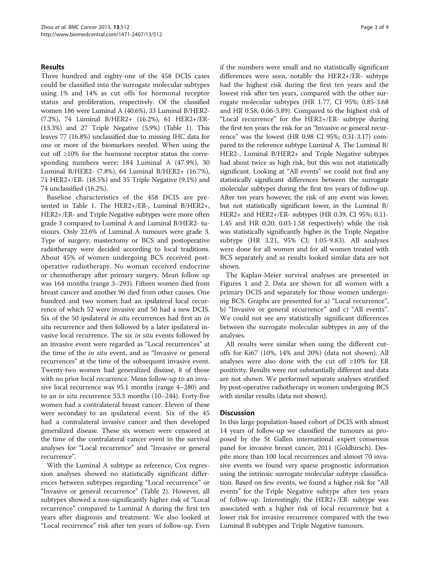### Results

Three hundred and eighty-one of the 458 DCIS cases could be classified into the surrogate molecular subtypes using 1% and 14% as cut offs for hormonal receptor status and proliferation, respectively. Of the classified women 186 were Luminal A (40.6%), 33 Luminal B/HER2- (7.2%), 74 Luminal B/HER2+ (16.2%), 61 HER2+/ER- (13.3%) and 27 Triple Negative (5.9%) (Table [1](#page-3-0)). This leaves 77 (16.8%) unclassified due to missing IHC data for one or more of the biomarkers needed. When using the cut off ≥10% for the hormone receptor status the corresponding numbers were; 184 Luminal A (47.9%), 30 Luminal B/HER2- (7.8%), 64 Luminal B/HER2+ (16.7%), 71 HER2+/ER- (18.5%) and 35 Triple Negative (9.1%) and 74 unclassified (16.2%).

Baseline characteristics of the 458 DCIS are presented in Table [1.](#page-3-0) The HER2+/ER-, Luminal B/HER2+, HER2+/ER- and Triple Negative subtypes were more often grade 3 compared to Luminal A and Luminal B/HER2- tumours. Only 22.6% of Luminal A tumours were grade 3. Type of surgery, mastectomy or BCS and postoperative radiotherapy were decided according to local traditions. About 45% of women undergoing BCS received postoperative radiotherapy. No woman received endocrine or chemotherapy after primary surgery. Mean follow up was 164 months (range 3–293). Fifteen women died from breast cancer and another 96 died from other causes. One hundred and two women had an ipsilateral local recurrence of which 52 were invasive and 50 had a new DCIS. Six of the 50 ipsilateral *in situ* recurrences had first an *in* situ recurrence and then followed by a later ipsilateral invasive local recurrence. The six in situ events followed by an invasive event were regarded as "Local recurrences" at the time of the in situ event, and as "Invasive or general recurrences" at the time of the subsequent invasive event. Twenty-two women had generalized disease, 8 of those with no prior local recurrence. Mean follow-up to an invasive local recurrence was 95.1 months (range 4–280) and to an in situ recurrence 53.3 months (10–244). Forty-five women had a contralateral breast cancer. Eleven of these were secondary to an ipsilateral event. Six of the 45 had a contralateral invasive cancer and then developed generalized disease. These six women were censored at the time of the contralateral cancer event in the survival analyses for "Local recurrence" and "Invasive or general recurrence".

With the Luminal A subtype as reference, Cox regression analyses showed no statistically significant differences between subtypes regarding "Local recurrence" or "Invasive or general recurrence" (Table [2\)](#page-4-0). However, all subtypes showed a non-significantly higher risk of "Local recurrence" compared to Luminal A during the first ten years after diagnosis and treatment. We also looked at "Local recurrence" risk after ten years of follow-up. Even if the numbers were small and no statistically significant differences were seen, notably the HER2+/ER- subtype had the highest risk during the first ten years and the lowest risk after ten years, compared with the other surrogate molecular subtypes (HR 1.77, CI 95%; 0.85-3.68 and HR 0.58; 0.06-5.89). Compared to the highest risk of "Local recurrence" for the HER2+/ER- subtype during the first ten years the risk for an "Invasive or general recurrence" was the lowest (HR 0.98 CI 95%; 0.31-3.17) compared to the reference subtype Luminal A. The Luminal B/ HER2-, Luminal B/HER2+ and Triple Negative subtypes had about twice as high risk, but this was not statistically significant. Looking at "All events" we could not find any statistically significant differences between the surrogate molecular subtypes during the first ten years of follow-up. After ten years however, the risk of any event was lower, but not statistically significant lower, in the Luminal B/ HER2+ and HER2+/ER- subtypes (HR 0.39, CI 95%; 0.11- 1.45 and HR 0.20; 0.03-1.58 respectively) while the risk was statistically significantly higher in the Triple Negative subtype (HR 3.21, 95% CI; 1.05-9.83). All analyses were done for all women and for all women treated with BCS separately and as results looked similar data are not shown.

The Kaplan-Meier survival analyses are presented in Figures [1](#page-5-0) and [2.](#page-6-0) Data are shown for all women with a primary DCIS and separately for those women undergoing BCS. Graphs are presented for a) "Local recurrence", b) "Invasive or general recurrence" and c) "All events". We could not see any statistically significant differences between the surrogate molecular subtypes in any of the analyses.

All results were similar when using the different cutoffs for Ki67 (10%, 14% and 20%) (data not shown). All analyses were also done with the cut off ≥10% for ER positivity. Results were not substantially different and data are not shown. We performed separate analyses stratified by post-operative radiotherapy in women undergoing BCS with similar results (data not shown).

#### **Discussion**

In this large population-based cohort of DCIS with almost 14 years of follow-up we classified the tumours as proposed by the St Gallen international expert consensus panel for invasive breast cancer, 2011 (Goldhirsch). Despite more than 100 local recurrences and almost 70 invasive events we found very sparse prognostic information using the intrinsic surrogate molecular subtype classification. Based on few events, we found a higher risk for "All events" for the Triple Negative subtype after ten years of follow-up. Interestingly, the HER2+/ER- subtype was associated with a higher risk of local recurrence but a lower risk for invasive recurrence compared with the two Luminal B subtypes and Triple Negative tumours.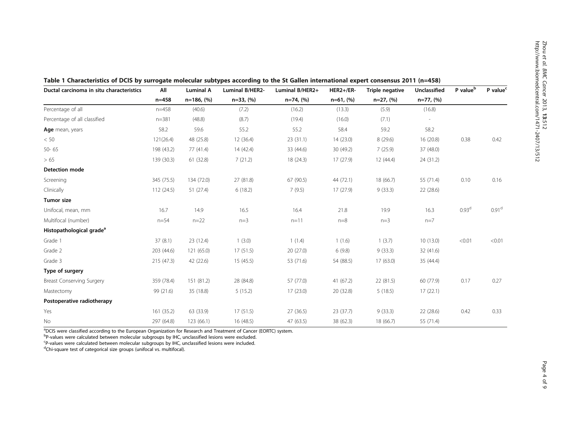| Ductal carcinoma in situ characteristics | All        | <b>Luminal A</b> | Luminal B/HER2- | Luminal B/HER2+ | $HER2+/ER-$ | Triple negative | Unclassified | P value <sup>b</sup> | P value <sup>c</sup> |
|------------------------------------------|------------|------------------|-----------------|-----------------|-------------|-----------------|--------------|----------------------|----------------------|
|                                          | $n = 458$  | $n=186, (%)$     | $n=33, (%)$     | $n=74, (%)$     | $n=61, (%)$ | $n=27, (%)$     | $n=77, (%)$  |                      |                      |
| Percentage of all                        | $n = 458$  | (40.6)           | (7.2)           | (16.2)          | (13.3)      | (5.9)           | (16.8)       |                      |                      |
| Percentage of all classified             | $n = 381$  | (48.8)           | (8.7)           | (19.4)          | (16.0)      | (7.1)           |              |                      |                      |
| Age mean, years                          | 58.2       | 59.6             | 55.2            | 55.2            | 58.4        | 59.2            | 58.2         |                      |                      |
| < 50                                     | 121(26.4)  | 48 (25.8)        | 12(36.4)        | 23(31.1)        | 14(23.0)    | 8(29.6)         | 16 (20.8)    | 0.38                 | 0.42                 |
| 50-65                                    | 198 (43.2) | 77(41.4)         | 14(42.4)        | 33 (44.6)       | 30 (49.2)   | 7(25.9)         | 37 (48.0)    |                      |                      |
| >65                                      | 139 (30.3) | 61 (32.8)        | 7(21.2)         | 18 (24.3)       | 17(27.9)    | 12(44.4)        | 24 (31.2)    |                      |                      |
| <b>Detection mode</b>                    |            |                  |                 |                 |             |                 |              |                      |                      |
| Screening                                | 345 (75.5) | 134 (72.0)       | 27 (81.8)       | 67 (90.5)       | 44 (72.1)   | 18 (66.7)       | 55 (71.4)    | 0.10                 | 0.16                 |
| Clinically                               | 112 (24.5) | 51(27.4)         | 6(18.2)         | 7(9.5)          | 17(27.9)    | 9(33.3)         | 22(28.6)     |                      |                      |
| Tumor size                               |            |                  |                 |                 |             |                 |              |                      |                      |
| Unifocal, mean, mm                       | 16.7       | 14.9             | 16.5            | 16.4            | 21.8        | 19.9            | 16.3         | 0.93 <sup>d</sup>    | 0.91 <sup>d</sup>    |
| Multifocal (number)                      | $n = 54$   | $n = 22$         | $n=3$           | $n = 11$        | $n=8$       | $n=3$           | $n=7$        |                      |                      |
| Histopathological grade <sup>a</sup>     |            |                  |                 |                 |             |                 |              |                      |                      |
| Grade 1                                  | 37(8.1)    | 23(12.4)         | 1(3.0)          | 1(1.4)          | 1(1.6)      | 1(3.7)          | 10(13.0)     | < 0.01               | < 0.01               |
| Grade 2                                  | 203 (44.6) | 121 (65.0)       | 17(51.5)        | 20(27.0)        | 6(9.8)      | 9(33.3)         | 32 (41.6)    |                      |                      |
| Grade 3                                  | 215(47.3)  | 42 (22.6)        | 15(45.5)        | 53 (71.6)       | 54 (88.5)   | 17 (63.0)       | 35 (44.4)    |                      |                      |
| Type of surgery                          |            |                  |                 |                 |             |                 |              |                      |                      |
| Breast Conserving Surgery                | 359 (78.4) | 151 (81.2)       | 28 (84.8)       | 57 (77.0)       | 41(67.2)    | 22(81.5)        | 60 (77.9)    | 0.17                 | 0.27                 |
| Mastectomy                               | 99 (21.6)  | 35 (18.8)        | 5(15.2)         | 17(23.0)        | 20 (32.8)   | 5(18.5)         | 17(22.1)     |                      |                      |
| Postoperative radiotherapy               |            |                  |                 |                 |             |                 |              |                      |                      |
| Yes                                      | 161(35.2)  | 63 (33.9)        | 17(51.5)        | 27(36.5)        | 23(37.7)    | 9(33.3)         | 22(28.6)     | 0.42                 | 0.33                 |
| No                                       | 297 (64.8) | 123 (66.1)       | 16(48.5)        | 47 (63.5)       | 38 (62.3)   | 18 (66.7)       | 55 (71.4)    |                      |                      |

<span id="page-3-0"></span>

a DCIS were classified according to the European Organization for Research and Treatment of Cancer (EORTC) system.

<sup>b</sup>P-values were calculated between molecular subgroups by IHC, unclassified lesions were excluded.

<sup>c</sup>P-values were calculated between molecular subgroups by IHC, unclassified lesions were included.<br><sup>d</sup>Chi-square test of categorical size groups (unifocal vs. multifocal).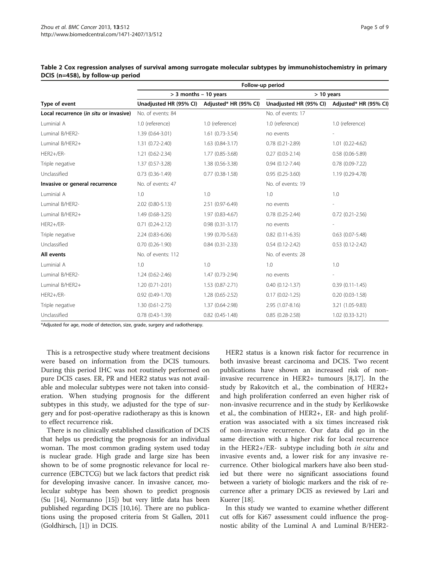|                                        | Follow-up period                             |                      |                                              |                        |  |  |  |  |  |
|----------------------------------------|----------------------------------------------|----------------------|----------------------------------------------|------------------------|--|--|--|--|--|
|                                        | $>$ 3 months - 10 years                      |                      | $> 10$ years                                 |                        |  |  |  |  |  |
| Type of event                          | Unadjusted HR (95% CI) Adjusted* HR (95% CI) |                      | Unadjusted HR (95% CI) Adjusted* HR (95% CI) |                        |  |  |  |  |  |
| Local recurrence (in situ or invasive) | No. of events: 84                            |                      | No. of events: 17                            |                        |  |  |  |  |  |
| Luminial A                             | 1.0 (reference)                              | 1.0 (reference)      | 1.0 (reference)                              | 1.0 (reference)        |  |  |  |  |  |
| Luminal B/HER2-                        | 1.39 (0.64-3.01)                             | $1.61(0.73-3.54)$    | no events                                    |                        |  |  |  |  |  |
| Luminal B/HER2+                        | 1.31 (0.72-2.40)                             | $1.63(0.84 - 3.17)$  | $0.78$ $(0.21 - 2.89)$                       | $1.01(0.22 - 4.62)$    |  |  |  |  |  |
| HER2+/ER-                              | 1.21 (0.62-2.34)                             | 1.77 (0.85-3.68)     | $0.27(0.03 - 2.14)$                          | $0.58(0.06 - 5.89)$    |  |  |  |  |  |
| Triple negative                        | 1.37 (0.57-3.28)                             | 1.38 (0.56-3.38)     | $0.94(0.12 - 7.44)$                          | $0.78(0.09 - 7.22)$    |  |  |  |  |  |
| Unclassified                           | $0.73(0.36-1.49)$                            | $0.77$ $(0.38-1.58)$ | $0.95(0.25-3.60)$                            | 1.19 (0.29-4.78)       |  |  |  |  |  |
| Invasive or general recurrence         | No. of events: 47                            |                      | No. of events: 19                            |                        |  |  |  |  |  |
| Luminial A                             | 1.0                                          | 1.0                  | 1.0                                          | 1.0                    |  |  |  |  |  |
| Luminal B/HER2-                        | 2.02 (0.80-5.13)                             | 2.51 (0.97-6.49)     | no events                                    |                        |  |  |  |  |  |
| Luminal B/HER2+                        | 1.49 (0.68-3.25)                             | 1.97 (0.83-4.67)     | $0.78(0.25 - 2.44)$                          | $0.72(0.21 - 2.56)$    |  |  |  |  |  |
| HER2+/ER-                              | $0.71(0.24 - 2.12)$                          | $0.98(0.31 - 3.17)$  | no events                                    |                        |  |  |  |  |  |
| Triple negative                        | 2.24 (0.83-6.06)                             | 1.99 (0.70-5.63)     | $0.82$ (0.11-6.35)                           | $0.63$ $(0.07 - 5.48)$ |  |  |  |  |  |
| Unclassified                           | $0.70(0.26-1.90)$                            | $0.84(0.31 - 2.33)$  | $0.54(0.12 - 2.42)$                          | $0.53$ $(0.12 - 2.42)$ |  |  |  |  |  |
| All events                             | No. of events: 112                           |                      | No. of events: 28                            |                        |  |  |  |  |  |
| Luminial A                             | 1.0                                          | 1.0                  | 1.0                                          | 1.0                    |  |  |  |  |  |
| Luminal B/HER2-                        | $1.24(0.62 - 2.46)$                          | 1.47 (0.73-2.94)     | no events                                    |                        |  |  |  |  |  |
| Luminal B/HER2+                        | $1.20(0.71 - 2.01)$                          | 1.53 (0.87-2.71)     | $0.40(0.12 - 1.37)$                          | $0.39(0.11-1.45)$      |  |  |  |  |  |
| HER2+/ER-                              | $0.92(0.49-1.70)$                            | 1.28 (0.65-2.52)     | $0.17(0.02 - 1.25)$                          | $0.20(0.03 - 1.58)$    |  |  |  |  |  |
| Triple negative                        | $1.30(0.61 - 2.75)$                          | 1.37 (0.64-2.98)     | 2.95 (1.07-8.16)                             | 3.21 (1.05-9.83)       |  |  |  |  |  |
| Unclassified                           | $0.78(0.43-1.39)$                            | $0.82$ (0.45-1.48)   | $0.85(0.28-2.58)$                            | 1.02 (0.33-3.21)       |  |  |  |  |  |

<span id="page-4-0"></span>Table 2 Cox regression analyses of survival among surrogate molecular subtypes by immunohistochemistry in primary DCIS (n=458), by follow-up period

\*Adjusted for age, mode of detection, size, grade, surgery and radiotherapy.

This is a retrospective study where treatment decisions were based on information from the DCIS tumours. During this period IHC was not routinely performed on pure DCIS cases. ER, PR and HER2 status was not available and molecular subtypes were not taken into consideration. When studying prognosis for the different subtypes in this study, we adjusted for the type of surgery and for post-operative radiotherapy as this is known to effect recurrence risk.

There is no clinically established classification of DCIS that helps us predicting the prognosis for an individual woman. The most common grading system used today is nuclear grade. High grade and large size has been shown to be of some prognostic relevance for local recurrence (EBCTCG) but we lack factors that predict risk for developing invasive cancer. In invasive cancer, molecular subtype has been shown to predict prognosis (Su [[14](#page-8-0)], Normanno [\[15\]](#page-8-0)) but very little data has been published regarding DCIS [[10](#page-7-0),[16](#page-8-0)]. There are no publications using the proposed criteria from St Gallen, 2011 (Goldhirsch, [\[1\]](#page-7-0)) in DCIS.

HER2 status is a known risk factor for recurrence in both invasive breast carcinoma and DCIS. Two recent publications have shown an increased risk of noninvasive recurrence in HER2+ tumours [[8,](#page-7-0)[17\]](#page-8-0). In the study by Rakovitch et al., the combination of HER2+ and high proliferation conferred an even higher risk of non-invasive recurrence and in the study by Kerlikowske et al., the combination of HER2+, ER- and high proliferation was associated with a six times increased risk of non-invasive recurrence. Our data did go in the same direction with a higher risk for local recurrence in the HER2+/ER- subtype including both in situ and invasive events and, a lower risk for any invasive recurrence. Other biological markers have also been studied but there were no significant associations found between a variety of biologic markers and the risk of recurrence after a primary DCIS as reviewed by Lari and Kuerer [[18\]](#page-8-0).

In this study we wanted to examine whether different cut offs for Ki67 assessment could influence the prognostic ability of the Luminal A and Luminal B/HER2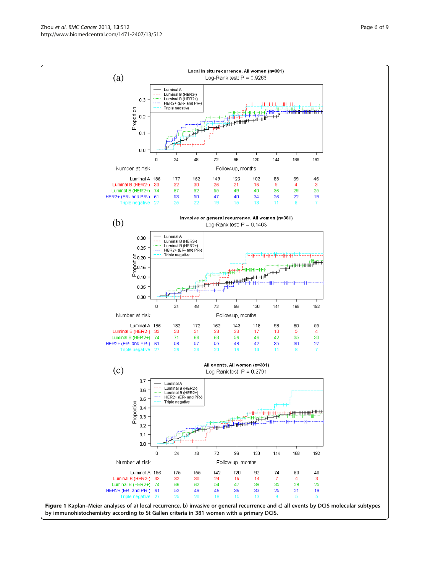Zhou et al. BMC Cancer 2013, 13:512 **Page 6 of 9** Page 6 of 9 http://www.biomedcentral.com/1471-2407/13/512

<span id="page-5-0"></span>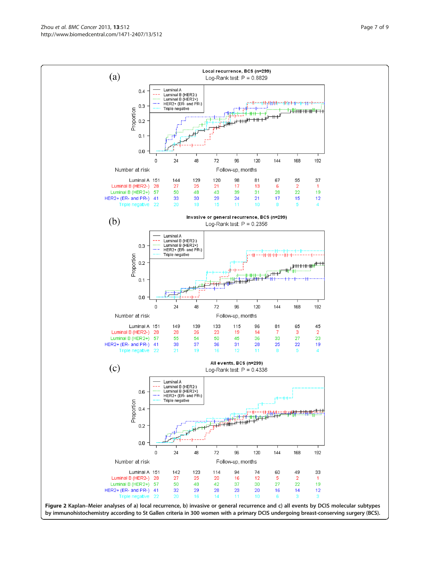<span id="page-6-0"></span>Zhou et al. BMC Cancer 2013, 13:512 **Page 7 of 9** Page 7 of 9 http://www.biomedcentral.com/1471-2407/13/512

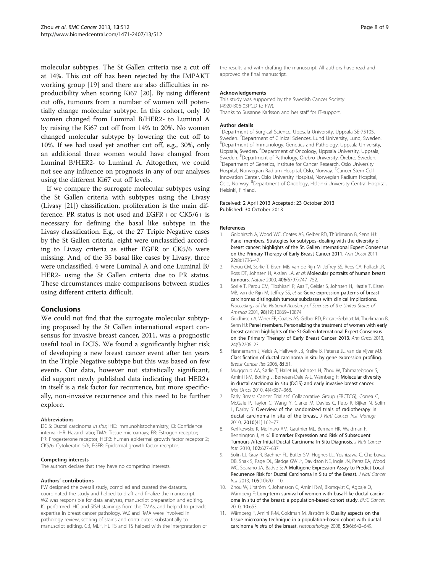<span id="page-7-0"></span>molecular subtypes. The St Gallen criteria use a cut off at 14%. This cut off has been rejected by the IMPAKT working group [[19\]](#page-8-0) and there are also difficulties in reproducibility when scoring Ki67 [\[20](#page-8-0)]. By using different cut offs, tumours from a number of women will potentially change molecular subtype. In this cohort, only 10 women changed from Luminal B/HER2- to Luminal A by raising the Ki67 cut off from 14% to 20%. No women changed molecular subtype by lowering the cut off to 10%. If we had used yet another cut off, e.g., 30%, only an additional three women would have changed from Luminal B/HER2- to Luminal A. Altogether, we could not see any influence on prognosis in any of our analyses using the different Ki67 cut off levels.

If we compare the surrogate molecular subtypes using the St Gallen criteria with subtypes using the Livasy (Livasy [\[21\]](#page-8-0)) classification, proliferation is the main difference. PR status is not used and EGFR + or CK5/6+ is necessary for defining the basal like subtype in the Livasy classification. E.g., of the 27 Triple Negative cases by the St Gallen criteria, eight were unclassified according to Livasy criteria as either EGFR or CK5/6 were missing. And, of the 35 basal like cases by Livasy, three were unclassified, 4 were Luminal A and one Luminal B/ HER2- using the St Gallen criteria due to PR status. These circumstances make comparisons between studies using different criteria difficult.

## Conclusions

We could not find that the surrogate molecular subtyping proposed by the St Gallen international expert consensus for invasive breast cancer, 2011, was a prognostic useful tool in DCIS. We found a significantly higher risk of developing a new breast cancer event after ten years in the Triple Negative subtype but this was based on few events. Our data, however not statistically significant, did support newly published data indicating that HER2+ in itself is a risk factor for recurrence, but more specifically, non-invasive recurrence and this need to be further explore.

#### Abbreviations

DCIS: Ductal carcinoma in situ; IHC: Immunohistochemistry; CI: Confidence interval; HR: Hazard ratio; TMA: Tissue microarrays; ER: Estrogen receptor; PR: Progesterone receptor; HER2: human epidermal growth factor receptor 2; CK5/6: Cytokeratin 5/6; EGFR: Epidermal growth factor receptor.

#### Competing interests

The authors declare that they have no competing interests.

#### Authors' contributions

FW designed the overall study, compiled and curated the datasets, coordinated the study and helped to draft and finalize the manuscript. WZ was responsible for data analyses, manuscript preparation and editing. KJ performed IHC and SISH stainings from the TMAs, and helped to provide expertise in breast cancer pathology. WZ and RMA were involved in pathology review, scoring of stains and contributed substantially to manuscript editing. CB, MLF, HL TS and TS helped with the interpretation of

the results and with drafting the manuscript. All authors have read and approved the final manuscript.

#### Acknowledgements

This study was supported by the Swedish Cancer Society (4920-B06-03PCD to FW). Thanks to Susanne Karlsson and her staff for IT-support.

#### Author details

<sup>1</sup>Department of Surgical Science, Uppsala University, Uppsala SE-75105, Sweden. <sup>2</sup> Department of Clinical Sciences, Lund University, Lund, Sweden.<br><sup>3</sup> Department of Immunology, Genetics and Pathology, Unnsala University. <sup>3</sup>Department of Immunology, Genetics and Pathology, Uppsala University, Uppsala, Sweden. <sup>4</sup>Department of Oncology, Uppsala University, Uppsala Sweden. <sup>5</sup>Department of Pathology, Örebro University, Örebro, Sweden.<br><sup>6</sup>Department of Genetics Institute for Cancer Besearch, Oslo University. Department of Genetics, Institute for Cancer Research, Oslo University Hospital, Norwegian Radium Hospital, Oslo, Norway. <sup>7</sup>Cancer Stem Cell Innovation Center, Oslo University Hospital, Norwegian Radium Hospital, Oslo, Norway. <sup>8</sup>Department of Oncology, Helsinki University Central Hospital Helsinki, Finland.

#### Received: 2 April 2013 Accepted: 23 October 2013 Published: 30 October 2013

#### References

- 1. Goldhirsch A, Wood WC, Coates AS, Gelber RD, Thürlimann B, Senn HJ: Panel members. Strategies for subtypes–dealing with the diversity of breast cancer: highlights of the St. Gallen International Expert Consensus on the Primary Therapy of Early Breast Cancer 2011. Ann Oncol 2011, 22(8):1736–47.
- 2. Perou CM, Sorlie T, Eisen MB, van de Rijn M, Jeffrey SS, Rees CA, Pollack JR, Ross DT, Johnsen H, Akslen LA, et al: Molecular portraits of human breast tumours. Nature 2000, 406(6797):747–752.
- 3. Sorlie T, Perou CM, Tibshirani R, Aas T, Geisler S, Johnsen H, Hastie T, Eisen MB, van de Rijn M, Jeffrey SS, et al: Gene expression patterns of breast carcinomas distinguish tumour subclasses with clinical implications. Proceedings of the National Academy of Sciences of the United States of America 2001, 98(19):10869–10874.
- 4. Goldhirsch A, Winer EP, Coates AS, Gelber RD, Piccart-Gebhart M, Thürlimann B, Senn HJ: Panel members. Personalizing the treatment of women with early breast cancer: highlights of the St Gallen International Expert Consensus on the Primary Therapy of Early Breast Cancer 2013. Ann Oncol 2013, 24(9):2206–23.
- 5. Hannemann J, Velds A, Halfwerk JB, Kreike B, Peterse JL, van de Vijver MJ: Classification of ductal carcinoma in situ by gene expression profiling. Breast Cancer Res 2006, 8:R61.
- 6. Muggerud AA, Sørlie T, Hallet M, Johnsen H, Zhou W, Tahmasebpoor S, Amini R-M, Botling J, Børresen-Dale A-L, Wärnberg F: Molecular diversity in ductal carcinoma in situ (DCIS) and early invasive breast cancer. Mol Oncol 2010, 4(4):357–368.
- 7. Early Breast Cancer Trialists' Collaborative Group (EBCTCG), Correa C, McGale P, Taylor C, Wang Y, Clarke M, Davies C, Peto R, Bijker N, Solin L, Darby S: Overview of the randomized trials of radiotherapy in ductal carcinoma in situ of the breast. J Natl Cancer Inst Monogr 2010, 2010(41):162–77.
- 8. Kerlikowske K, Molinaro AM, Gauthier ML, Berman HK, Waldman F, Bennington J, et al: Biomarker Expression and Risk of Subsequent Tumours After Initial Ductal Carcinoma In Situ Diagnosis. J Natl Cancer Inst. 2010, 102:627–637.
- 9. Solin LJ, Gray R, Baehner FL, Butler SM, Hughes LL, Yoshizawa C, Cherbavaz DB, Shak S, Page DL, Sledge GW Jr, Davidson NE, Ingle JN, Perez EA, Wood WC, Sparano JA, Badve S: A Multigene Expression Assay to Predict Local Recurrence Risk for Ductal Carcinoma In Situ of the Breast. J Natl Cancer Inst 2013, 105(10):701–10.
- 10. Zhou W, Jirström K, Johansson C, Amini R-M, Blomqvist C, Agbaje O, Wärnberg F: Long-term survival of women with basal-like ductal carcinoma in situ of the breast: a population-based cohort study. BMC Cancer. 2010, 10:653.
- 11. Wärnberg F, Amini R-M, Goldman M, Jirström K: Quality aspects on the tissue microarray technique in a population-based cohort with ductal carcinoma in situ of the breast. Histopathology 2008, 53(6):642–649.